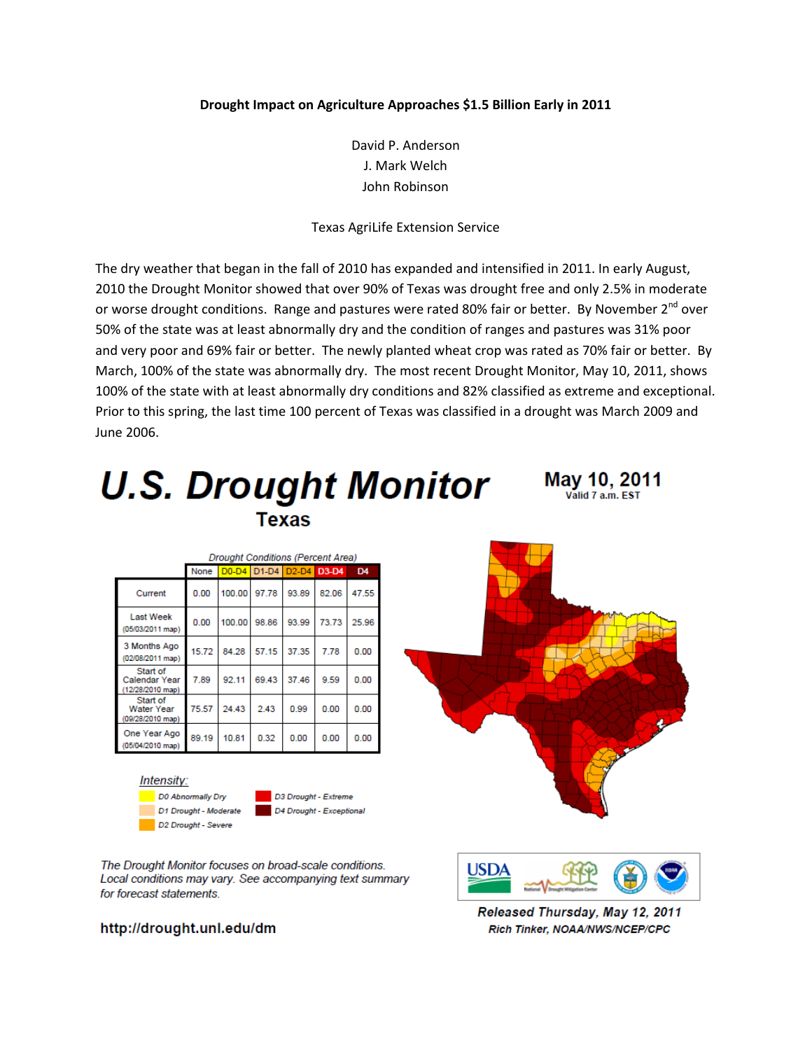## **Drought Impact on Agriculture Approaches \$1.5 Billion Early in 2011**

David P. Anderson J. Mark Welch John Robinson

## Texas AgriLife Extension Service

The dry weather that began in the fall of 2010 has expanded and intensified in 2011. In early August, 2010 the Drought Monitor showed that over 90% of Texas was drought free and only 2.5% in moderate or worse drought conditions. Range and pastures were rated 80% fair or better. By November  $2^{nd}$  over 50% of the state was at least abnormally dry and the condition of ranges and pastures was 31% poor and very poor and 69% fair or better. The newly planted wheat crop was rated as 70% fair or better. By March, 100% of the state was abnormally dry. The most recent Drought Monitor, May 10, 2011, shows 100% of the state with at least abnormally dry conditions and 82% classified as extreme and exceptional. Prior to this spring, the last time 100 percent of Texas was classified in a drought was March 2009 and June 2006.



The Drought Monitor focuses on broad-scale conditions. Local conditions may vary. See accompanying text summary for forecast statements

# http://drought.unl.edu/dm

Released Thursday, May 12, 2011 Rich Tinker, NOAA/NWS/NCEP/CPC

**USDA**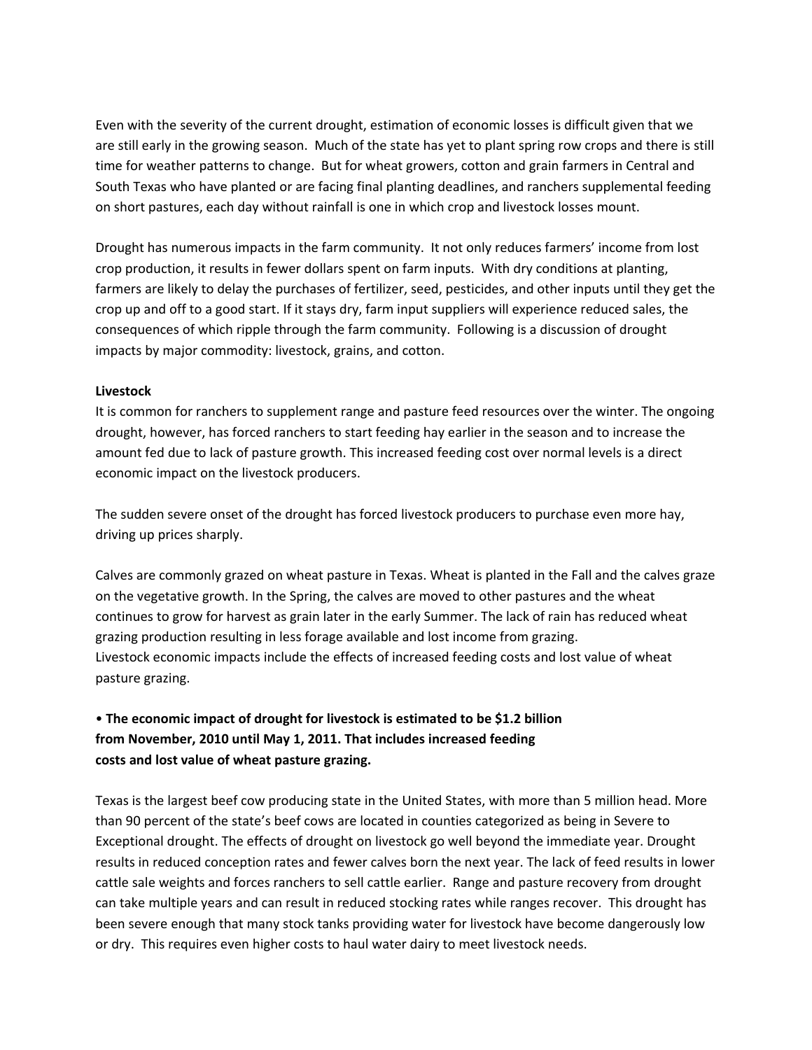Even with the severity of the current drought, estimation of economic losses is difficult given that we are still early in the growing season. Much of the state has yet to plant spring row crops and there is still time for weather patterns to change. But for wheat growers, cotton and grain farmers in Central and South Texas who have planted or are facing final planting deadlines, and ranchers supplemental feeding on short pastures, each day without rainfall is one in which crop and livestock losses mount.

Drought has numerous impacts in the farm community. It not only reduces farmers' income from lost crop production, it results in fewer dollars spent on farm inputs. With dry conditions at planting, farmers are likely to delay the purchases of fertilizer, seed, pesticides, and other inputs until they get the crop up and off to a good start. If it stays dry, farm input suppliers will experience reduced sales, the consequences of which ripple through the farm community. Following is a discussion of drought impacts by major commodity: livestock, grains, and cotton.

## **Livestock**

It is common for ranchers to supplement range and pasture feed resources over the winter. The ongoing drought, however, has forced ranchers to start feeding hay earlier in the season and to increase the amount fed due to lack of pasture growth. This increased feeding cost over normal levels is a direct economic impact on the livestock producers.

The sudden severe onset of the drought has forced livestock producers to purchase even more hay, driving up prices sharply.

Calves are commonly grazed on wheat pasture in Texas. Wheat is planted in the Fall and the calves graze on the vegetative growth. In the Spring, the calves are moved to other pastures and the wheat continues to grow for harvest as grain later in the early Summer. The lack of rain has reduced wheat grazing production resulting in less forage available and lost income from grazing. Livestock economic impacts include the effects of increased feeding costs and lost value of wheat pasture grazing.

# Y **The economic impact of drought for livestock is estimated to be \$1.2 billion from November, 2010 until May 1, 2011. That includes increased feeding costs and lost value of wheat pasture grazing.**

Texas is the largest beef cow producing state in the United States, with more than 5 million head. More than 90 percent of the state's beef cows are located in counties categorized as being in Severe to Exceptional drought. The effects of drought on livestock go well beyond the immediate year. Drought results in reduced conception rates and fewer calves born the next year. The lack of feed results in lower cattle sale weights and forces ranchers to sell cattle earlier. Range and pasture recovery from drought can take multiple years and can result in reduced stocking rates while ranges recover. This drought has been severe enough that many stock tanks providing water for livestock have become dangerously low or dry. This requires even higher costs to haul water dairy to meet livestock needs.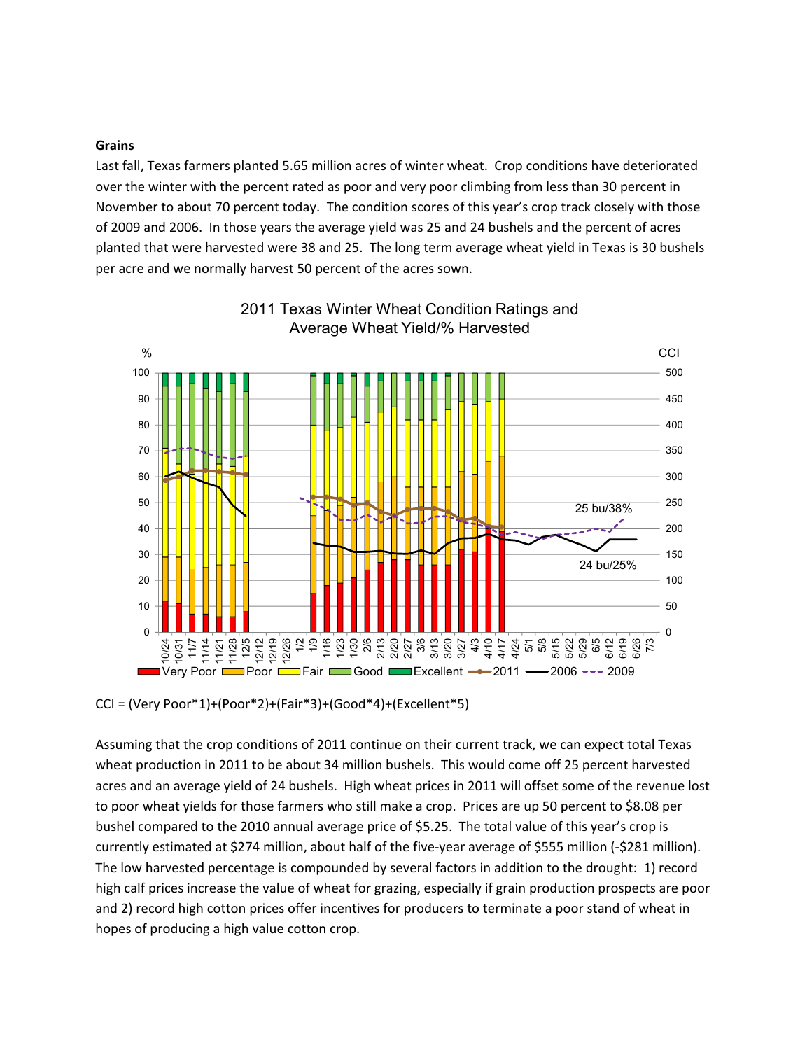#### **Grains**

Last fall, Texas farmers planted 5.65 million acres of winter wheat. Crop conditions have deteriorated over the winter with the percent rated as poor and very poor climbing from less than 30 percent in November to about 70 percent today. The condition scores of this year's crop track closely with those of 2009 and 2006. In those years the average yield was 25 and 24 bushels and the percent of acres planted that were harvested were 38 and 25. The long term average wheat yield in Texas is 30 bushels per acre and we normally harvest 50 percent of the acres sown.



# 2011 Texas Winter Wheat Condition Ratings and Average Wheat Yield/% Harvested

CCI = (Very Poor\*1)+(Poor\*2)+(Fair\*3)+(Good\*4)+(Excellent\*5)

Assuming that the crop conditions of 2011 continue on their current track, we can expect total Texas wheat production in 2011 to be about 34 million bushels. This would come off 25 percent harvested acres and an average yield of 24 bushels. High wheat prices in 2011 will offset some of the revenue lost to poor wheat yields for those farmers who still make a crop. Prices are up 50 percent to \$8.08 per bushel compared to the 2010 annual average price of \$5.25. The total value of this year's crop is currently estimated at \$274 million, about half of the five-year average of \$555 million (-\$281 million). The low harvested percentage is compounded by several factors in addition to the drought:1) record high calf prices increase the value of wheat for grazing, especially if grain production prospects are poor and 2) record high cotton prices offer incentives for producers to terminate a poor stand of wheat in hopes of producing a high value cotton crop.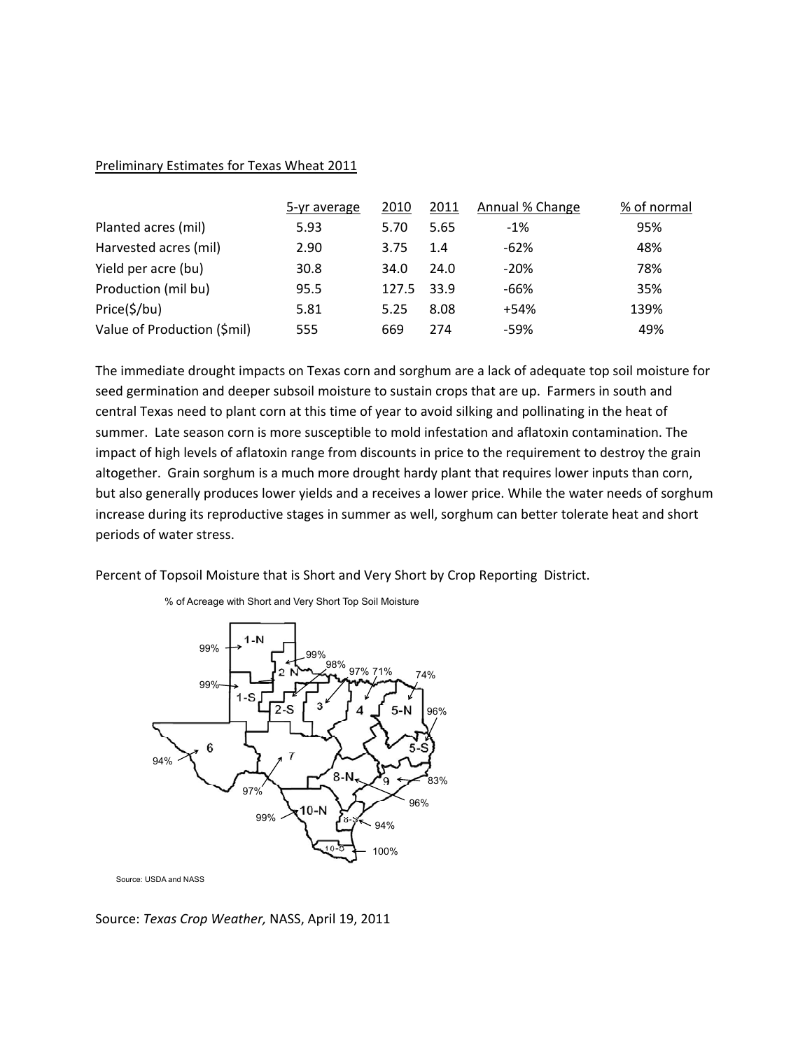### Preliminary Estimates for Texas Wheat 2011

|                             | 5-yr average | 2010  | 2011 | Annual % Change | % of normal |
|-----------------------------|--------------|-------|------|-----------------|-------------|
| Planted acres (mil)         | 5.93         | 5.70  | 5.65 | $-1%$           | 95%         |
| Harvested acres (mil)       | 2.90         | 3.75  | 1.4  | $-62%$          | 48%         |
| Yield per acre (bu)         | 30.8         | 34.0  | 24.0 | $-20%$          | 78%         |
| Production (mil bu)         | 95.5         | 127.5 | 33.9 | -66%            | 35%         |
| Price(\$/bu)                | 5.81         | 5.25  | 8.08 | $+54%$          | 139%        |
| Value of Production (\$mil) | 555          | 669   | 274  | -59%            | 49%         |

The immediate drought impacts on Texas corn and sorghum are a lack of adequate top soil moisture for seed germination and deeper subsoil moisture to sustain crops that are up. Farmers in south and central Texas need to plant corn at this time of year to avoid silking and pollinating in the heat of summer. Late season corn is more susceptible to mold infestation and aflatoxin contamination. The impact of high levels of aflatoxin range from discounts in price to the requirement to destroy the grain altogether. Grain sorghum is a much more drought hardy plant that requires lower inputs than corn, but also generally produces lower yields and a receives a lower price. While the water needs of sorghum increase during its reproductive stages in summer as well, sorghum can better tolerate heat and short periods of water stress.

Percent of Topsoil Moisture that is Short and Very Short by Crop Reporting District.

% of Acreage with Short and Very Short Top Soil Moisture



Source: USDA and NASS

Source: *Texas Crop Weather,* NASS, April 19, 2011